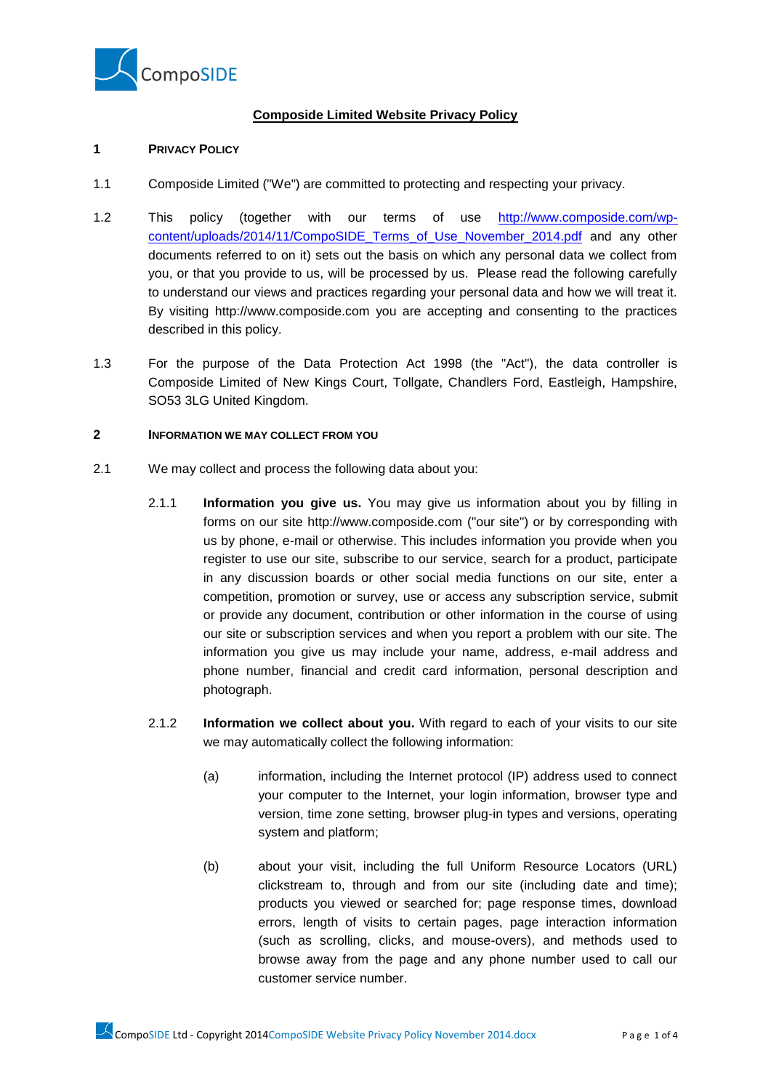

# **Composide Limited Website Privacy Policy**

## **1 PRIVACY POLICY**

- 1.1 Composide Limited ("We") are committed to protecting and respecting your privacy.
- 1.2 This policy (together with our terms of use [http://www.composide.com/wp](http://www.composide.com/wp-content/uploads/2014/11/CompoSIDE_Terms_of_Use_November_2014.pdf)[content/uploads/2014/11/CompoSIDE\\_Terms\\_of\\_Use\\_November\\_2014.pdf](http://www.composide.com/wp-content/uploads/2014/11/CompoSIDE_Terms_of_Use_November_2014.pdf) and any other documents referred to on it) sets out the basis on which any personal data we collect from you, or that you provide to us, will be processed by us. Please read the following carefully to understand our views and practices regarding your personal data and how we will treat it. By visiting http://www.composide.com you are accepting and consenting to the practices described in this policy.
- 1.3 For the purpose of the Data Protection Act 1998 (the "Act"), the data controller is Composide Limited of New Kings Court, Tollgate, Chandlers Ford, Eastleigh, Hampshire, SO53 3LG United Kingdom.

## **2 INFORMATION WE MAY COLLECT FROM YOU**

- 2.1 We may collect and process the following data about you:
	- 2.1.1 **Information you give us.** You may give us information about you by filling in forms on our site http://www.composide.com ("our site") or by corresponding with us by phone, e-mail or otherwise. This includes information you provide when you register to use our site, subscribe to our service, search for a product, participate in any discussion boards or other social media functions on our site, enter a competition, promotion or survey, use or access any subscription service, submit or provide any document, contribution or other information in the course of using our site or subscription services and when you report a problem with our site. The information you give us may include your name, address, e-mail address and phone number, financial and credit card information, personal description and photograph.
	- 2.1.2 **Information we collect about you.** With regard to each of your visits to our site we may automatically collect the following information:
		- (a) information, including the Internet protocol (IP) address used to connect your computer to the Internet, your login information, browser type and version, time zone setting, browser plug-in types and versions, operating system and platform;
		- (b) about your visit, including the full Uniform Resource Locators (URL) clickstream to, through and from our site (including date and time); products you viewed or searched for; page response times, download errors, length of visits to certain pages, page interaction information (such as scrolling, clicks, and mouse-overs), and methods used to browse away from the page and any phone number used to call our customer service number.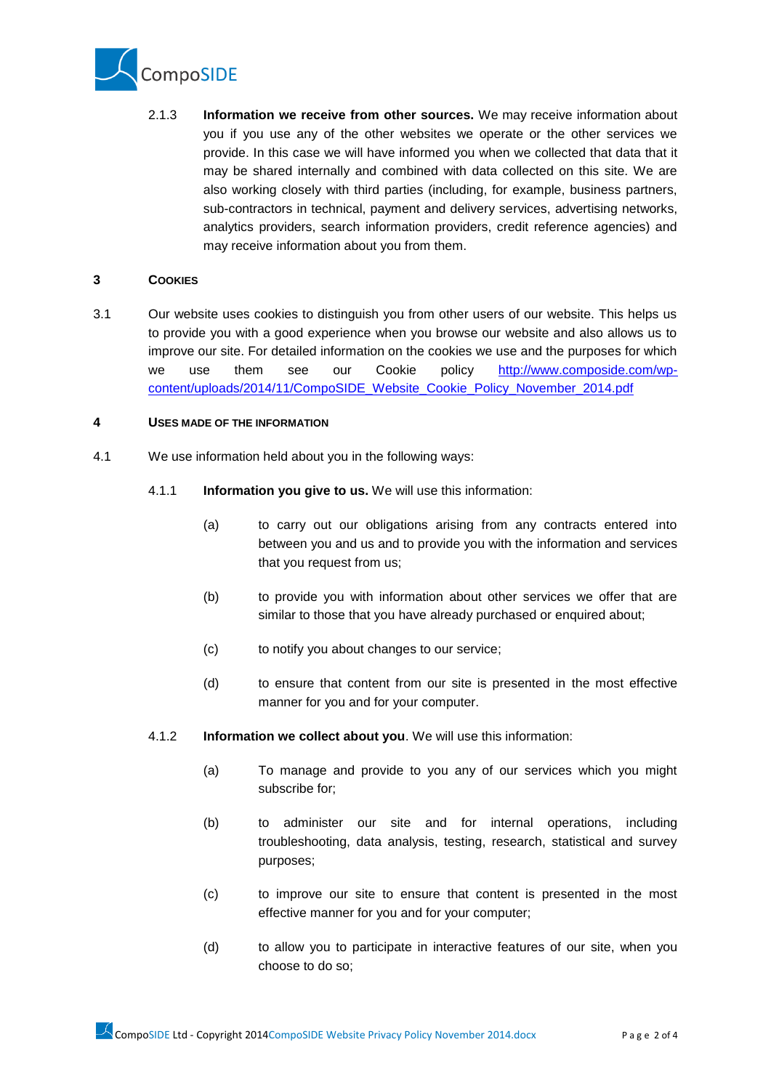

2.1.3 **Information we receive from other sources.** We may receive information about you if you use any of the other websites we operate or the other services we provide. In this case we will have informed you when we collected that data that it may be shared internally and combined with data collected on this site. We are also working closely with third parties (including, for example, business partners, sub-contractors in technical, payment and delivery services, advertising networks, analytics providers, search information providers, credit reference agencies) and may receive information about you from them.

### **3 COOKIES**

3.1 Our website uses cookies to distinguish you from other users of our website. This helps us to provide you with a good experience when you browse our website and also allows us to improve our site. For detailed information on the cookies we use and the purposes for which we use them see our Cookie policy [http://www.composide.com/wp](http://www.composide.com/wp-content/uploads/2014/11/CompoSIDE_Website_Cookie_Policy_November_2014.pdf)[content/uploads/2014/11/CompoSIDE\\_Website\\_Cookie\\_Policy\\_November\\_2014.pdf](http://www.composide.com/wp-content/uploads/2014/11/CompoSIDE_Website_Cookie_Policy_November_2014.pdf)

## **4 USES MADE OF THE INFORMATION**

- 4.1 We use information held about you in the following ways:
	- 4.1.1 **Information you give to us.** We will use this information:
		- (a) to carry out our obligations arising from any contracts entered into between you and us and to provide you with the information and services that you request from us;
		- (b) to provide you with information about other services we offer that are similar to those that you have already purchased or enquired about;
		- (c) to notify you about changes to our service;
		- (d) to ensure that content from our site is presented in the most effective manner for you and for your computer.
	- 4.1.2 **Information we collect about you**. We will use this information:
		- (a) To manage and provide to you any of our services which you might subscribe for;
		- (b) to administer our site and for internal operations, including troubleshooting, data analysis, testing, research, statistical and survey purposes;
		- (c) to improve our site to ensure that content is presented in the most effective manner for you and for your computer;
		- (d) to allow you to participate in interactive features of our site, when you choose to do so;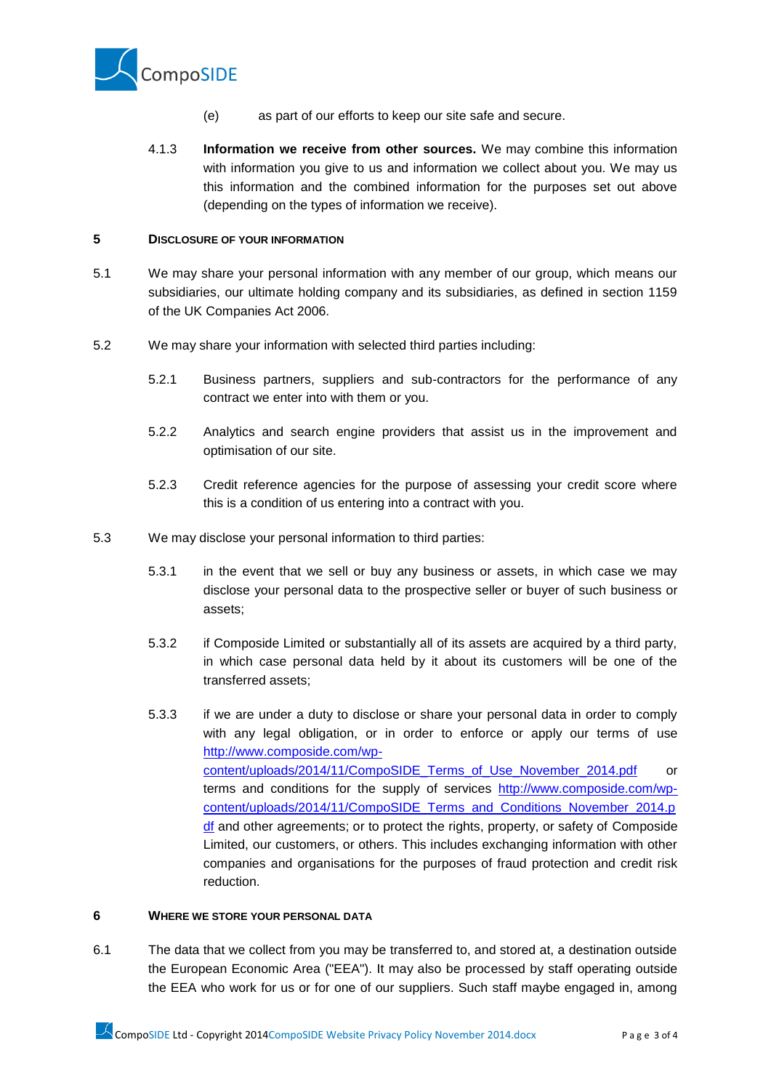

- (e) as part of our efforts to keep our site safe and secure.
- 4.1.3 **Information we receive from other sources.** We may combine this information with information you give to us and information we collect about you. We may us this information and the combined information for the purposes set out above (depending on the types of information we receive).

### **5 DISCLOSURE OF YOUR INFORMATION**

- 5.1 We may share your personal information with any member of our group, which means our subsidiaries, our ultimate holding company and its subsidiaries, as defined in section 1159 of the UK Companies Act 2006.
- 5.2 We may share your information with selected third parties including:
	- 5.2.1 Business partners, suppliers and sub-contractors for the performance of any contract we enter into with them or you.
	- 5.2.2 Analytics and search engine providers that assist us in the improvement and optimisation of our site.
	- 5.2.3 Credit reference agencies for the purpose of assessing your credit score where this is a condition of us entering into a contract with you.
- 5.3 We may disclose your personal information to third parties:
	- 5.3.1 in the event that we sell or buy any business or assets, in which case we may disclose your personal data to the prospective seller or buyer of such business or assets;
	- 5.3.2 if Composide Limited or substantially all of its assets are acquired by a third party, in which case personal data held by it about its customers will be one of the transferred assets;
	- 5.3.3 if we are under a duty to disclose or share your personal data in order to comply with any legal obligation, or in order to enforce or apply our terms of use [http://www.composide.com/wp](http://www.composide.com/wp-content/uploads/2014/11/CompoSIDE_Terms_of_Use_November_2014.pdf)[content/uploads/2014/11/CompoSIDE\\_Terms\\_of\\_Use\\_November\\_2014.pdf](http://www.composide.com/wp-content/uploads/2014/11/CompoSIDE_Terms_of_Use_November_2014.pdf) or terms and conditions for the supply of services [http://www.composide.com/wp](http://www.composide.com/wp-content/uploads/2014/11/CompoSIDE_Terms_and_Conditions_November_2014.pdf)[content/uploads/2014/11/CompoSIDE\\_Terms\\_and\\_Conditions\\_November\\_2014.p](http://www.composide.com/wp-content/uploads/2014/11/CompoSIDE_Terms_and_Conditions_November_2014.pdf) of and other agreements; or to protect the rights, property, or safety of Composide Limited, our customers, or others. This includes exchanging information with other companies and organisations for the purposes of fraud protection and credit risk reduction.

#### **6 WHERE WE STORE YOUR PERSONAL DATA**

6.1 The data that we collect from you may be transferred to, and stored at, a destination outside the European Economic Area ("EEA"). It may also be processed by staff operating outside the EEA who work for us or for one of our suppliers. Such staff maybe engaged in, among